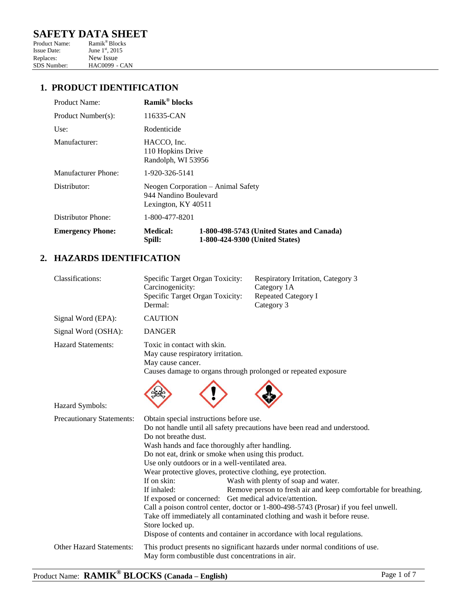# **SAFETY DATA SHEET**<br>Product Name: Ramik®Blocks

Product Name:<br>Issue Date: June  $1<sup>st</sup>$ , 2015 Replaces: New Issue<br>SDS Number: HAC0099 -HAC0099 - CAN

# **1. PRODUCT IDENTIFICATION**

| Product Name:           | Ramik <sup>®</sup> blocks                                                          |                                                                             |
|-------------------------|------------------------------------------------------------------------------------|-----------------------------------------------------------------------------|
| Product Number(s):      | 116335-CAN                                                                         |                                                                             |
| Use:                    | Rodenticide                                                                        |                                                                             |
| Manufacturer:           | HACCO, Inc.<br>110 Hopkins Drive<br>Randolph, WI 53956                             |                                                                             |
| Manufacturer Phone:     | 1-920-326-5141                                                                     |                                                                             |
| Distributor:            | Neogen Corporation – Animal Safety<br>944 Nandino Boulevard<br>Lexington, KY 40511 |                                                                             |
| Distributor Phone:      | 1-800-477-8201                                                                     |                                                                             |
| <b>Emergency Phone:</b> | <b>Medical:</b><br>Spill:                                                          | 1-800-498-5743 (United States and Canada)<br>1-800-424-9300 (United States) |

## **2. HAZARDS IDENTIFICATION**

| Classifications:                | Specific Target Organ Toxicity:<br>Carcinogenicity:<br>Specific Target Organ Toxicity:<br>Dermal:                                                                                                                                                                                                                                                                                                       | Respiratory Irritation, Category 3<br>Category 1A<br><b>Repeated Category I</b><br>Category 3                                                                                                                                                                                                                                                                                                                                    |
|---------------------------------|---------------------------------------------------------------------------------------------------------------------------------------------------------------------------------------------------------------------------------------------------------------------------------------------------------------------------------------------------------------------------------------------------------|----------------------------------------------------------------------------------------------------------------------------------------------------------------------------------------------------------------------------------------------------------------------------------------------------------------------------------------------------------------------------------------------------------------------------------|
| Signal Word (EPA):              | <b>CAUTION</b>                                                                                                                                                                                                                                                                                                                                                                                          |                                                                                                                                                                                                                                                                                                                                                                                                                                  |
| Signal Word (OSHA):             | <b>DANGER</b>                                                                                                                                                                                                                                                                                                                                                                                           |                                                                                                                                                                                                                                                                                                                                                                                                                                  |
| <b>Hazard Statements:</b>       | Toxic in contact with skin.<br>May cause respiratory irritation.<br>May cause cancer.<br>Causes damage to organs through prolonged or repeated exposure                                                                                                                                                                                                                                                 |                                                                                                                                                                                                                                                                                                                                                                                                                                  |
| Hazard Symbols:                 |                                                                                                                                                                                                                                                                                                                                                                                                         |                                                                                                                                                                                                                                                                                                                                                                                                                                  |
| Precautionary Statements:       | Obtain special instructions before use.<br>Do not breathe dust.<br>Wash hands and face thoroughly after handling.<br>Do not eat, drink or smoke when using this product.<br>Use only outdoors or in a well-ventilated area.<br>Wear protective gloves, protective clothing, eye protection.<br>If on skin:<br>If inhaled:<br>If exposed or concerned: Get medical advice/attention.<br>Store locked up. | Do not handle until all safety precautions have been read and understood.<br>Wash with plenty of soap and water.<br>Remove person to fresh air and keep comfortable for breathing.<br>Call a poison control center, doctor or 1-800-498-5743 (Prosar) if you feel unwell.<br>Take off immediately all contaminated clothing and wash it before reuse.<br>Dispose of contents and container in accordance with local regulations. |
| <b>Other Hazard Statements:</b> | May form combustible dust concentrations in air.                                                                                                                                                                                                                                                                                                                                                        | This product presents no significant hazards under normal conditions of use.                                                                                                                                                                                                                                                                                                                                                     |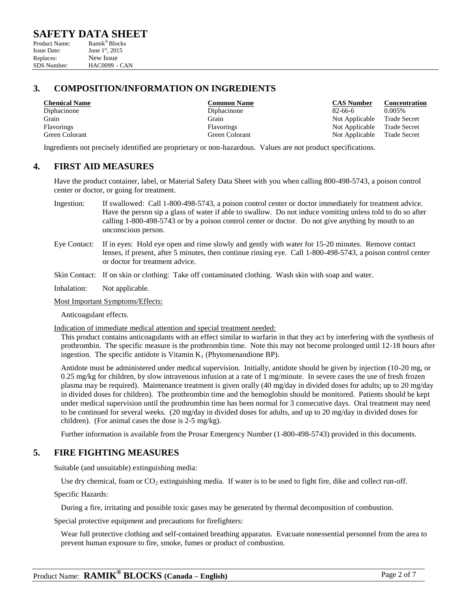$HAC0099 - CAN$ 

## **3. COMPOSITION/INFORMATION ON INGREDIENTS**

| <b>Chemical Name</b> | <b>Common Name</b> | <b>CAS Number</b> | Concer  |
|----------------------|--------------------|-------------------|---------|
| Diphacinone          | Diphacinone        | 82-66-6           | 0.005%  |
| Grain                | Grain              | Not Applicable    | Trade S |
| Flavorings           | <b>Flavorings</b>  | Not Applicable    | Trade S |
| Green Colorant       | Green Colorant     | Not Applicable    | Trade S |

**CAS Number CONS CONS CONS CONS CONS CONS CONS CONS CONS CONS CONS CONS CONS CONS CONS CONS CONS CONS CONS CONS CONS CONS CONS CONS CONS CONS CONS CONS CONS CONS** Green Colorant Not Applicable

Grain Grain Not Applicable Trade Secret Flavorings Not Applicable Trade Secret<br>
Green Colorant Not Applicable Trade Secret<br>
Not Applicable Trade Secret

Ingredients not precisely identified are proprietary or non-hazardous. Values are not product specifications.

## **4. FIRST AID MEASURES**

Have the product container, label, or Material Safety Data Sheet with you when calling 800-498-5743, a poison control center or doctor, or going for treatment.

- Ingestion: If swallowed: Call 1-800-498-5743, a poison control center or doctor immediately for treatment advice. Have the person sip a glass of water if able to swallow. Do not induce vomiting unless told to do so after calling 1-800-498-5743 or by a poison control center or doctor. Do not give anything by mouth to an unconscious person.
- Eye Contact: If in eyes: Hold eye open and rinse slowly and gently with water for 15-20 minutes. Remove contact lenses, if present, after 5 minutes, then continue rinsing eye. Call 1-800-498-5743, a poison control center or doctor for treatment advice.
- Skin Contact: If on skin or clothing: Take off contaminated clothing. Wash skin with soap and water.

Inhalation: Not applicable.

Most Important Symptoms/Effects:

Anticoagulant effects.

Indication of immediate medical attention and special treatment needed:

This product contains anticoagulants with an effect similar to warfarin in that they act by interfering with the synthesis of prothrombin. The specific measure is the prothrombin time. Note this may not become prolonged until 12-18 hours after ingestion. The specific antidote is Vitamin  $K_1$  (Phytomenandione BP).

Antidote must be administered under medical supervision. Initially, antidote should be given by injection (10-20 mg, or 0.25 mg/kg for children, by slow intravenous infusion at a rate of 1 mg/minute. In severe cases the use of fresh frozen plasma may be required). Maintenance treatment is given orally (40 mg/day in divided doses for adults; up to 20 mg/day in divided doses for children). The prothrombin time and the hemoglobin should be monitored. Patients should be kept under medical supervision until the prothrombin time has been normal for 3 consecutive days. Oral treatment may need to be continued for several weeks. (20 mg/day in divided doses for adults, and up to 20 mg/day in divided doses for children). (For animal cases the dose is 2-5 mg/kg).

Further information is available from the Prosar Emergency Number (1-800-498-5743) provided in this documents.

## **5. FIRE FIGHTING MEASURES**

Suitable (and unsuitable) extinguishing media:

Use dry chemical, foam or  $CO_2$  extinguishing media. If water is to be used to fight fire, dike and collect run-off.

Specific Hazards:

During a fire, irritating and possible toxic gases may be generated by thermal decomposition of combustion.

Special protective equipment and precautions for firefighters:

Wear full protective clothing and self-contained breathing apparatus. Evacuate nonessential personnel from the area to prevent human exposure to fire, smoke, fumes or product of combustion.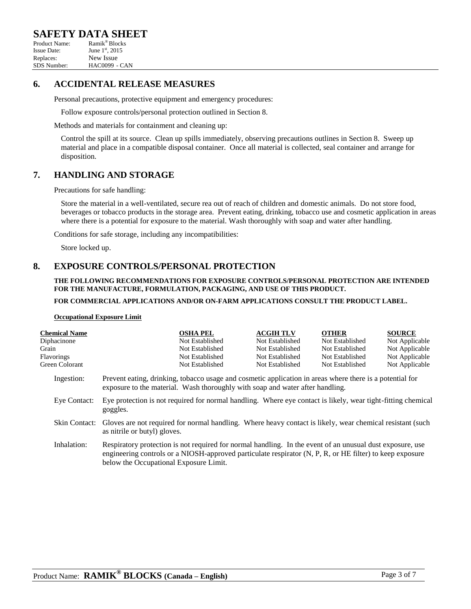# **SAFETY DATA SHEET**<br>Product Name: Ramik®Blocks

Product Name: Ramik<sup>®</sup> Blocks<br>Issue Date: June 1<sup>st</sup>, 2015 June  $1<sup>st</sup>$ , 2015 Replaces: New Issue<br>SDS Number: HAC0099 - $HAC0099 - CAN$ 

## **6. ACCIDENTAL RELEASE MEASURES**

Personal precautions, protective equipment and emergency procedures:

Follow exposure controls/personal protection outlined in Section 8.

Methods and materials for containment and cleaning up:

Control the spill at its source. Clean up spills immediately, observing precautions outlines in Section 8. Sweep up material and place in a compatible disposal container. Once all material is collected, seal container and arrange for disposition.

## **7. HANDLING AND STORAGE**

Precautions for safe handling:

Store the material in a well-ventilated, secure rea out of reach of children and domestic animals. Do not store food, beverages or tobacco products in the storage area. Prevent eating, drinking, tobacco use and cosmetic application in areas where there is a potential for exposure to the material. Wash thoroughly with soap and water after handling.

Conditions for safe storage, including any incompatibilities:

Store locked up.

## **8. EXPOSURE CONTROLS/PERSONAL PROTECTION**

#### **THE FOLLOWING RECOMMENDATIONS FOR EXPOSURE CONTROLS/PERSONAL PROTECTION ARE INTENDED FOR THE MANUFACTURE, FORMULATION, PACKAGING, AND USE OF THIS PRODUCT.**

### **FOR COMMERCIAL APPLICATIONS AND/OR ON-FARM APPLICATIONS CONSULT THE PRODUCT LABEL.**

#### **Occupational Exposure Limit**

| <b>Chemical Name</b> |                                                                                                                                                                                                                                                                 | <b>OSHA PEL</b> | <b>ACGIH TLV</b> | <b>OTHER</b>    | <b>SOURCE</b>  |
|----------------------|-----------------------------------------------------------------------------------------------------------------------------------------------------------------------------------------------------------------------------------------------------------------|-----------------|------------------|-----------------|----------------|
| Diphacinone          |                                                                                                                                                                                                                                                                 | Not Established | Not Established  | Not Established | Not Applicable |
| Grain                |                                                                                                                                                                                                                                                                 | Not Established | Not Established  | Not Established | Not Applicable |
| Flavorings           |                                                                                                                                                                                                                                                                 | Not Established | Not Established  | Not Established | Not Applicable |
| Green Colorant       |                                                                                                                                                                                                                                                                 | Not Established | Not Established  | Not Established | Not Applicable |
| Ingestion:           | Prevent eating, drinking, tobacco usage and cosmetic application in areas where there is a potential for<br>exposure to the material. Wash thoroughly with soap and water after handling.                                                                       |                 |                  |                 |                |
| Eye Contact:         | Eye protection is not required for normal handling. Where eye contact is likely, wear tight-fitting chemical<br>goggles.                                                                                                                                        |                 |                  |                 |                |
| Skin Contact:        | Gloves are not required for normal handling. Where heavy contact is likely, wear chemical resistant (such<br>as nitrile or butyl) gloves.                                                                                                                       |                 |                  |                 |                |
| Inhalation:          | Respiratory protection is not required for normal handling. In the event of an unusual dust exposure, use<br>engineering controls or a NIOSH-approved particulate respirator (N, P, R, or HE filter) to keep exposure<br>below the Occupational Exposure Limit. |                 |                  |                 |                |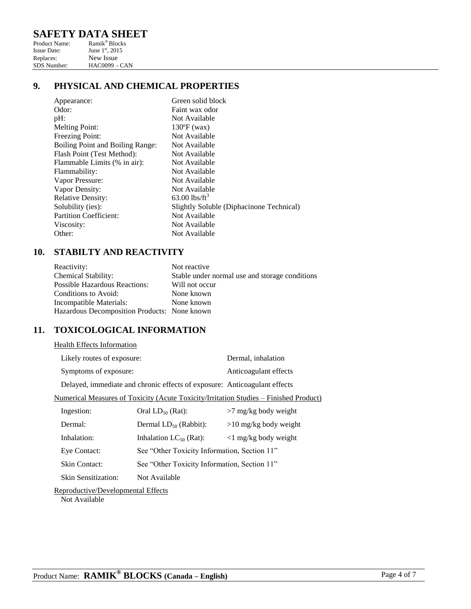# **SAFETY DATA SHEET**

| Product Name:      | Ramik <sup>®</sup> Blocks   |
|--------------------|-----------------------------|
| <b>Issue Date:</b> | June 1 <sup>st</sup> , 2015 |
| Replaces:          | New Issue                   |
| <b>SDS</b> Number: | $HAC0099 - CAN$             |

# **9. PHYSICAL AND CHEMICAL PROPERTIES**

| Appearance:                      | Green solid block                        |
|----------------------------------|------------------------------------------|
| Odor:                            | Faint wax odor                           |
| $pH$ :                           | Not Available                            |
| <b>Melting Point:</b>            | $130^{\circ}F$ (wax)                     |
| Freezing Point:                  | Not Available                            |
| Boiling Point and Boiling Range: | Not Available                            |
| Flash Point (Test Method):       | Not Available                            |
| Flammable Limits (% in air):     | Not Available                            |
| Flammability:                    | Not Available                            |
| Vapor Pressure:                  | Not Available                            |
| Vapor Density:                   | Not Available                            |
| <b>Relative Density:</b>         | $63.00$ lbs/ft <sup>3</sup>              |
| Solubility (ies):                | Slightly Soluble (Diphacinone Technical) |
| <b>Partition Coefficient:</b>    | Not Available                            |
| Viscosity:                       | Not Available                            |
| Other:                           | Not Available                            |
|                                  |                                          |

# **10. STABILTY AND REACTIVITY**

| Reactivity:                                  | Not reactive                                   |
|----------------------------------------------|------------------------------------------------|
| <b>Chemical Stability:</b>                   | Stable under normal use and storage conditions |
| <b>Possible Hazardous Reactions:</b>         | Will not occur                                 |
| Conditions to Avoid:                         | None known                                     |
| Incompatible Materials:                      | None known                                     |
| Hazardous Decomposition Products: None known |                                                |

# **11. TOXICOLOGICAL INFORMATION**

### Health Effects Information

| Likely routes of exposure:                                                | Dermal, inhalation    |
|---------------------------------------------------------------------------|-----------------------|
| Symptoms of exposure:                                                     | Anticoagulant effects |
| Delayed, immediate and chronic effects of exposure: Anticoagulant effects |                       |

Numerical Measures of Toxicity (Acute Toxicity/Irritation Studies – Finished Product)

| Ingestion:          | Oral $LD_{50}$ (Rat):                        | $>7$ mg/kg body weight        |
|---------------------|----------------------------------------------|-------------------------------|
| Dermal:             | Dermal $LD_{50}$ (Rabbit):                   | $>10$ mg/kg body weight       |
| Inhalation:         | Inhalation $LC_{50}$ (Rat):                  | $\langle$ 1 mg/kg body weight |
| Eye Contact:        | See "Other Toxicity Information, Section 11" |                               |
| Skin Contact:       | See "Other Toxicity Information, Section 11" |                               |
| Skin Sensitization: | Not Available                                |                               |

## Reproductive/Developmental Effects

Not Available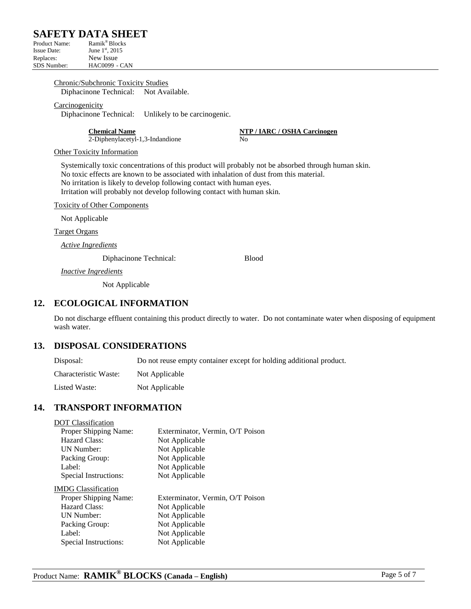# **SAFETY DATA SHEET**<br>Product Name: Ramik®Blocks

Product Name: Ramik<sup>®</sup> Blocks<br>Issue Date: June 1<sup>st</sup>, 2015 June  $1<sup>st</sup>$ , 2015 Replaces: New Issue<br>SDS Number: HAC0099 - $HAC0099 - CAN$ 

### Chronic/Subchronic Toxicity Studies

Diphacinone Technical: Not Available.

### Carcinogenicity

Diphacinone Technical: Unlikely to be carcinogenic.

2-Diphenylacetyl-1,3-Indandione No

**Chemical Name NTP / IARC / OSHA Carcinogen**

### Other Toxicity Information

Systemically toxic concentrations of this product will probably not be absorbed through human skin. No toxic effects are known to be associated with inhalation of dust from this material. No irritation is likely to develop following contact with human eyes. Irritation will probably not develop following contact with human skin.

Toxicity of Other Components

Not Applicable

Target Organs

*Active Ingredients*

Diphacinone Technical: Blood

*Inactive Ingredients*

Not Applicable

## **12. ECOLOGICAL INFORMATION**

Do not discharge effluent containing this product directly to water. Do not contaminate water when disposing of equipment wash water.

## **13. DISPOSAL CONSIDERATIONS**

Disposal: Do not reuse empty container except for holding additional product. Characteristic Waste: Not Applicable Listed Waste: Not Applicable

## **14. TRANSPORT INFORMATION**

## DOT Classification

| Proper Shipping Name: | Exterminator, Vermin, O/T Poison |
|-----------------------|----------------------------------|
| Hazard Class:         | Not Applicable                   |
| UN Number:            | Not Applicable                   |
| Packing Group:        | Not Applicable                   |
| Label:                | Not Applicable                   |
| Special Instructions: | Not Applicable                   |

IMDG Classification

| Proper Shipping Name: | Exterminator, Vermin, O/T Poison |
|-----------------------|----------------------------------|
| Hazard Class:         | Not Applicable                   |
| UN Number:            | Not Applicable                   |
| Packing Group:        | Not Applicable                   |
| Label:                | Not Applicable                   |
| Special Instructions: | Not Applicable                   |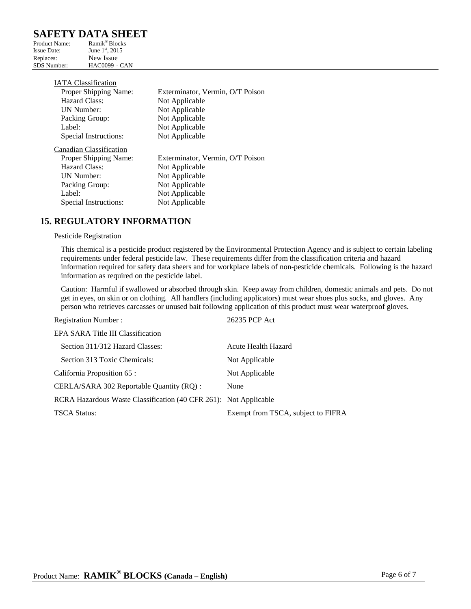# **SAFETY DATA SHEET**

| Product Name:      | Ramik <sup>®</sup> Blocks   |
|--------------------|-----------------------------|
| <b>Issue Date:</b> | June 1 <sup>st</sup> , 2015 |
| Replaces:          | New Issue                   |
| <b>SDS</b> Number: | $HAC0099 - CAN$             |

| <b>IATA</b> Classification |                                  |
|----------------------------|----------------------------------|
| Proper Shipping Name:      | Exterminator, Vermin, O/T Poison |
| Hazard Class:              | Not Applicable                   |
| <b>IJN Number:</b>         | Not Applicable                   |
| Packing Group:             | Not Applicable                   |
| Label:                     | Not Applicable                   |
| Special Instructions:      | Not Applicable                   |
| Canadian Classification    |                                  |
| Proper Shipping Name:      | Exterminator, Vermin, O/T Poison |
| Hazard Class:              | Not Applicable                   |
| <b>UN Number:</b>          | Not Applicable                   |
| Packing Group:             | Not Applicable                   |
| Label:                     | Not Applicable                   |
| Special Instructions:      | Not Applicable                   |

## **15. REGULATORY INFORMATION**

### Pesticide Registration

This chemical is a pesticide product registered by the Environmental Protection Agency and is subject to certain labeling requirements under federal pesticide law. These requirements differ from the classification criteria and hazard information required for safety data sheers and for workplace labels of non-pesticide chemicals. Following is the hazard information as required on the pesticide label.

Caution: Harmful if swallowed or absorbed through skin. Keep away from children, domestic animals and pets. Do not get in eyes, on skin or on clothing. All handlers (including applicators) must wear shoes plus socks, and gloves. Any person who retrieves carcasses or unused bait following application of this product must wear waterproof gloves.

| <b>Registration Number:</b>                                      | 26235 PCP Act                      |
|------------------------------------------------------------------|------------------------------------|
| EPA SARA Title III Classification                                |                                    |
| Section 311/312 Hazard Classes:                                  | Acute Health Hazard                |
| Section 313 Toxic Chemicals:                                     | Not Applicable                     |
| California Proposition 65 :                                      | Not Applicable                     |
| CERLA/SARA 302 Reportable Quantity (RO):                         | None                               |
| RCRA Hazardous Waste Classification (40 CFR 261): Not Applicable |                                    |
| <b>TSCA Status:</b>                                              | Exempt from TSCA, subject to FIFRA |